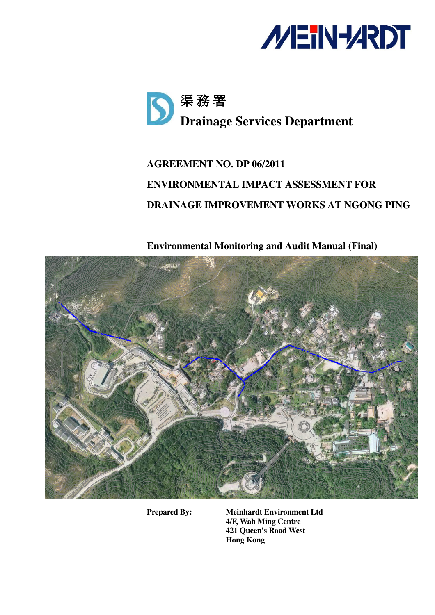



# **AGREEMENT NO. DP 06/2011 ENVIRONMENTAL IMPACT ASSESSMENT FOR DRAINAGE IMPROVEMENT WORKS AT NGONG PING**

**Environmental Monitoring and Audit Manual (Final)** 



**Prepared By: Meinhardt Environment Ltd 4/F, Wah Ming Centre 421 Queen's Road West Hong Kong**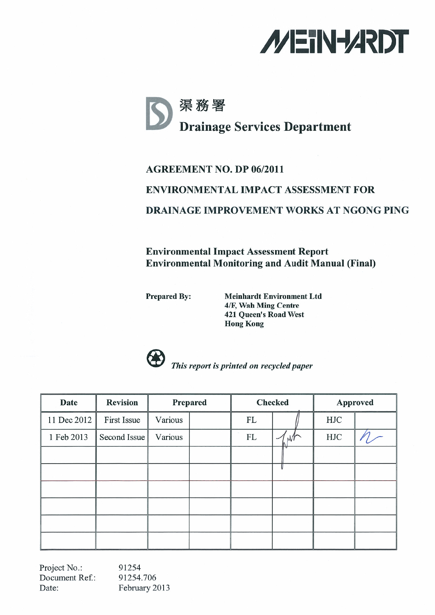



## **AGREEMENT NO. DP 06/2011 ENVIRONMENTAL IMPACT ASSESSMENT FOR DRAINAGE IMPROVEMENT WORKS AT NGONG PING**

**Environmental Impact Assessment Report Environmental Monitoring and Audit Manual (Final)** 

**Prepared By:** 

**Meinhardt Environment Ltd** 4/F, Wah Ming Centre **421 Queen's Road West Hong Kong** 



This report is printed on recycled paper

| <b>Date</b> | <b>Revision</b> | Prepared |  | <b>Checked</b> |   | <b>Approved</b> |  |
|-------------|-----------------|----------|--|----------------|---|-----------------|--|
| 11 Dec 2012 | First Issue     | Various  |  | FL             |   | HJC             |  |
| 1 Feb 2013  | Second Issue    | Various  |  | FL             | M | HJC             |  |
|             |                 |          |  |                |   |                 |  |
|             |                 |          |  |                |   |                 |  |
|             |                 |          |  |                |   |                 |  |
|             |                 |          |  |                |   |                 |  |
|             |                 |          |  |                |   |                 |  |
|             |                 |          |  |                |   |                 |  |

Project No.: 91254 Document Ref.: 91254.706 February 2013 Date: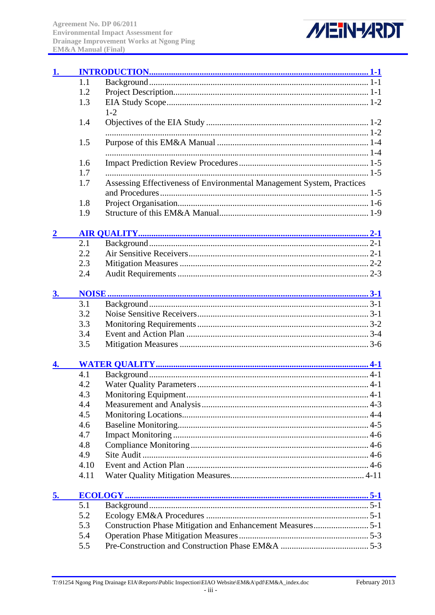

| 1. |      |                                                                       |  |
|----|------|-----------------------------------------------------------------------|--|
|    | 1.1  |                                                                       |  |
|    | 1.2  |                                                                       |  |
|    | 1.3  |                                                                       |  |
|    |      | $1 - 2$                                                               |  |
|    | 1.4  |                                                                       |  |
|    |      |                                                                       |  |
|    | 1.5  |                                                                       |  |
|    |      |                                                                       |  |
|    | 1.6  |                                                                       |  |
|    | 1.7  |                                                                       |  |
|    | 1.7  | Assessing Effectiveness of Environmental Management System, Practices |  |
|    |      |                                                                       |  |
|    | 1.8  |                                                                       |  |
|    | 1.9  |                                                                       |  |
|    |      |                                                                       |  |
|    |      |                                                                       |  |
|    | 2.1  |                                                                       |  |
|    | 2.2  |                                                                       |  |
|    | 2.3  |                                                                       |  |
|    | 2.4  |                                                                       |  |
| 3. |      |                                                                       |  |
|    | 3.1  |                                                                       |  |
|    | 3.2  |                                                                       |  |
|    | 3.3  |                                                                       |  |
|    | 3.4  |                                                                       |  |
|    | 3.5  |                                                                       |  |
|    |      |                                                                       |  |
|    | 4.1  |                                                                       |  |
|    | 4.2  |                                                                       |  |
|    | 4.3  |                                                                       |  |
|    | 4.4  |                                                                       |  |
|    | 4.5  |                                                                       |  |
|    | 4.6  |                                                                       |  |
|    | 4.7  |                                                                       |  |
|    | 4.8  |                                                                       |  |
|    | 4.9  |                                                                       |  |
|    | 4.10 |                                                                       |  |
|    | 4.11 |                                                                       |  |
| 5. |      |                                                                       |  |
|    | 5.1  |                                                                       |  |
|    | 5.2  |                                                                       |  |
|    | 5.3  |                                                                       |  |
|    | 5.4  |                                                                       |  |
|    | 5.5  |                                                                       |  |
|    |      |                                                                       |  |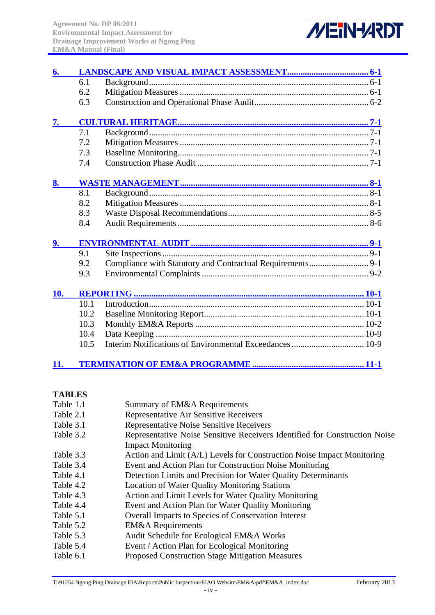

| 6.  |      |  |  |  |
|-----|------|--|--|--|
|     | 6.1  |  |  |  |
|     | 6.2  |  |  |  |
|     | 6.3  |  |  |  |
| 7.  |      |  |  |  |
|     | 7.1  |  |  |  |
|     | 7.2  |  |  |  |
|     | 7.3  |  |  |  |
|     | 7.4  |  |  |  |
|     |      |  |  |  |
| 8.  |      |  |  |  |
|     | 8.1  |  |  |  |
|     | 8.2  |  |  |  |
|     | 8.3  |  |  |  |
|     | 8.4  |  |  |  |
| 9.  |      |  |  |  |
|     | 9.1  |  |  |  |
|     | 9.2  |  |  |  |
|     | 9.3  |  |  |  |
| 10. |      |  |  |  |
|     | 10.1 |  |  |  |
|     | 10.2 |  |  |  |
|     | 10.3 |  |  |  |
|     | 10.4 |  |  |  |
|     | 10.5 |  |  |  |
| 11. |      |  |  |  |

#### **TABLES**

| Table 1.1 | Summary of EM&A Requirements                                               |
|-----------|----------------------------------------------------------------------------|
| Table 2.1 | Representative Air Sensitive Receivers                                     |
| Table 3.1 | <b>Representative Noise Sensitive Receivers</b>                            |
| Table 3.2 | Representative Noise Sensitive Receivers Identified for Construction Noise |
|           | <b>Impact Monitoring</b>                                                   |
| Table 3.3 | Action and Limit (A/L) Levels for Construction Noise Impact Monitoring     |
| Table 3.4 | Event and Action Plan for Construction Noise Monitoring                    |
| Table 4.1 | Detection Limits and Precision for Water Quality Determinants              |
| Table 4.2 | <b>Location of Water Quality Monitoring Stations</b>                       |
| Table 4.3 | Action and Limit Levels for Water Quality Monitoring                       |
| Table 4.4 | Event and Action Plan for Water Quality Monitoring                         |
| Table 5.1 | <b>Overall Impacts to Species of Conservation Interest</b>                 |
| Table 5.2 | <b>EM&amp;A</b> Requirements                                               |
| Table 5.3 | Audit Schedule for Ecological EM&A Works                                   |
| Table 5.4 | Event / Action Plan for Ecological Monitoring                              |
| Table 6.1 | <b>Proposed Construction Stage Mitigation Measures</b>                     |